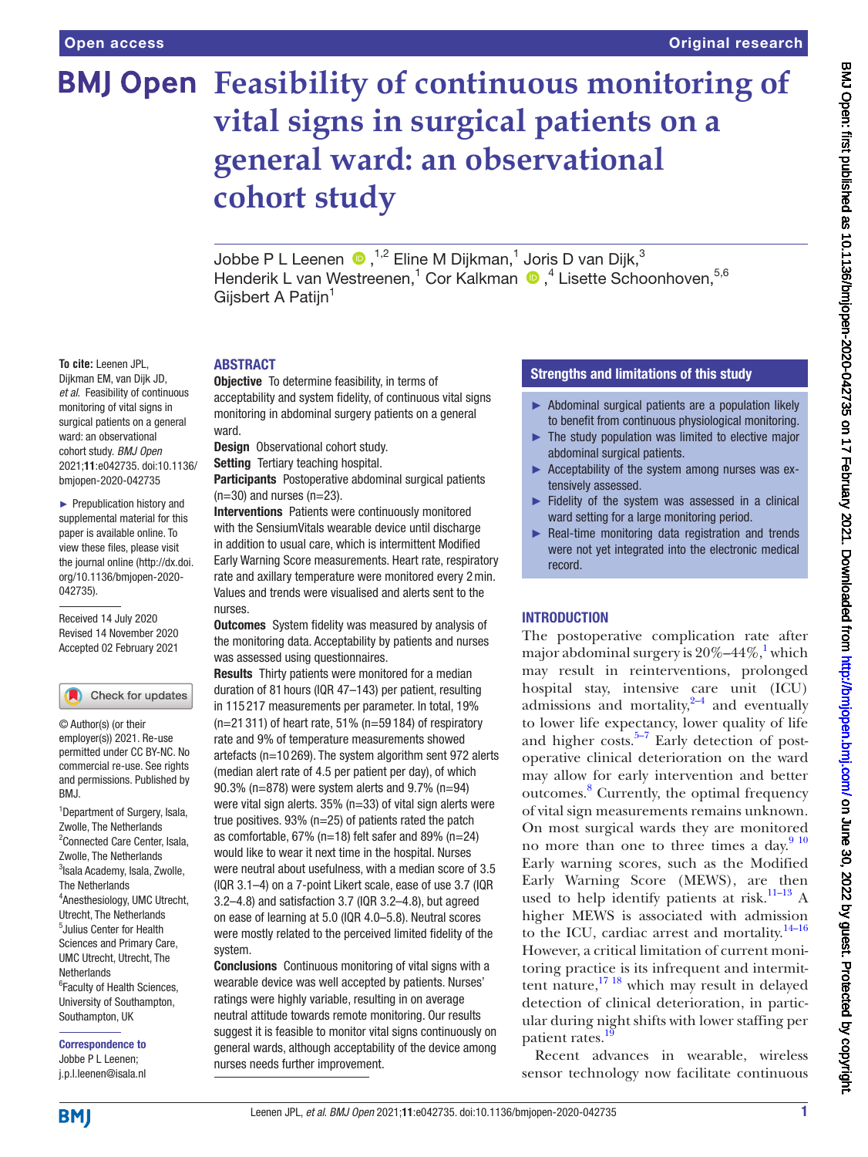# **BMJ Open** Feasibility of continuous monitoring of **vital signs in surgical patients on a general ward: an observational cohort study**

JobbeP L Leenen  $\bm{\mathbb{D}}$  ,<sup>1,2</sup> Eline M Dijkman,<sup>1</sup> Joris D van Dijk,<sup>3</sup> Henderik L van Westreenen,<sup>1</sup> Cor Kalkman (D, <sup>4</sup> Lisette Schoonhoven, 5,6 Giisbert A Patiin<sup>1</sup>

#### ABSTRACT

**Objective** To determine feasibility, in terms of acceptability and system fidelity, of continuous vital signs monitoring in abdominal surgery patients on a general ward.

Design Observational cohort study.

Setting Tertiary teaching hospital.

Participants Postoperative abdominal surgical patients  $(n=30)$  and nurses  $(n=23)$ .

Interventions Patients were continuously monitored with the SensiumVitals wearable device until discharge in addition to usual care, which is intermittent Modified Early Warning Score measurements. Heart rate, respiratory rate and axillary temperature were monitored every 2min. Values and trends were visualised and alerts sent to the nurses.

**Outcomes** System fidelity was measured by analysis of the monitoring data. Acceptability by patients and nurses was assessed using questionnaires.

Results Thirty patients were monitored for a median duration of 81 hours (IQR 47–143) per patient, resulting in 115 217 measurements per parameter. In total, 19%  $(n=21311)$  of heart rate, 51%  $(n=59184)$  of respiratory rate and 9% of temperature measurements showed artefacts (n=10 269). The system algorithm sent 972 alerts (median alert rate of 4.5 per patient per day), of which 90.3% (n=878) were system alerts and 9.7% (n=94) were vital sign alerts. 35% (n=33) of vital sign alerts were true positives. 93% (n=25) of patients rated the patch as comfortable,  $67\%$  (n=18) felt safer and 89% (n=24) would like to wear it next time in the hospital. Nurses were neutral about usefulness, with a median score of 3.5 (IQR 3.1–4) on a 7-point Likert scale, ease of use 3.7 (IQR 3.2–4.8) and satisfaction 3.7 (IQR 3.2–4.8), but agreed on ease of learning at 5.0 (IQR 4.0–5.8). Neutral scores were mostly related to the perceived limited fidelity of the system.

Conclusions Continuous monitoring of vital signs with a wearable device was well accepted by patients. Nurses' ratings were highly variable, resulting in on average neutral attitude towards remote monitoring. Our results suggest it is feasible to monitor vital signs continuously on general wards, although acceptability of the device among nurses needs further improvement.

#### Strengths and limitations of this study

- ► Abdominal surgical patients are a population likely to benefit from continuous physiological monitoring.
- ► The study population was limited to elective major abdominal surgical patients.
- ► Acceptability of the system among nurses was extensively assessed.
- ► Fidelity of the system was assessed in a clinical ward setting for a large monitoring period.
- ► Real-time monitoring data registration and trends were not yet integrated into the electronic medical record.

#### INTRODUCTION

The postoperative complication rate after major abdominal surgery is  $20\%-44\%$ ,<sup>[1](#page-6-0)</sup> which may result in reinterventions, prolonged hospital stay, intensive care unit (ICU) admissions and mortality, $2-4$  and eventually to lower life expectancy, lower quality of life and higher costs.<sup>5–7</sup> Early detection of postoperative clinical deterioration on the ward may allow for early intervention and better outcomes.<sup>[8](#page-7-0)</sup> Currently, the optimal frequency of vital sign measurements remains unknown. On most surgical wards they are monitored no more than one to three times a day. $\frac{910}{2}$ Early warning scores, such as the Modified Early Warning Score (MEWS), are then used to help identify patients at risk.<sup>11–13</sup> A higher MEWS is associated with admission to the ICU, cardiac arrest and mortality.<sup>14-16</sup> However, a critical limitation of current monitoring practice is its infrequent and intermittent nature, $17 \frac{18}{18}$  which may result in delayed detection of clinical deterioration, in particular during night shifts with lower staffing per patient rates.<sup>[19](#page-7-5)</sup>

Recent advances in wearable, wireless sensor technology now facilitate continuous

**To cite:** Leenen JPL, Dijkman EM, van Dijk JD, *et al*. Feasibility of continuous monitoring of vital signs in surgical patients on a general ward: an observational cohort study. *BMJ Open* 2021;11:e042735. doi:10.1136/ bmjopen-2020-042735

► Prepublication history and supplemental material for this paper is available online. To view these files, please visit the journal online (http://dx.doi. org/10.1136/bmjopen-2020- 042735).

Received 14 July 2020 Revised 14 November 2020 Accepted 02 February 2021

Check for updates

© Author(s) (or their employer(s)) 2021. Re-use permitted under CC BY-NC. No commercial re-use. See rights and permissions. Published by BMJ.

1 Department of Surgery, Isala, Zwolle, The Netherlands <sup>2</sup> Connected Care Center, Isala, Zwolle, The Netherlands 3 Isala Academy, Isala, Zwolle, The Netherlands 4 Anesthesiology, UMC Utrecht, Utrecht, The Netherlands 5 Julius Center for Health Sciences and Primary Care, UMC Utrecht, Utrecht, The **Netherlands** 6 Faculty of Health Sciences, University of Southampton, Southampton, UK

Correspondence to Jobbe P L Leenen; j.p.l.leenen@isala.nl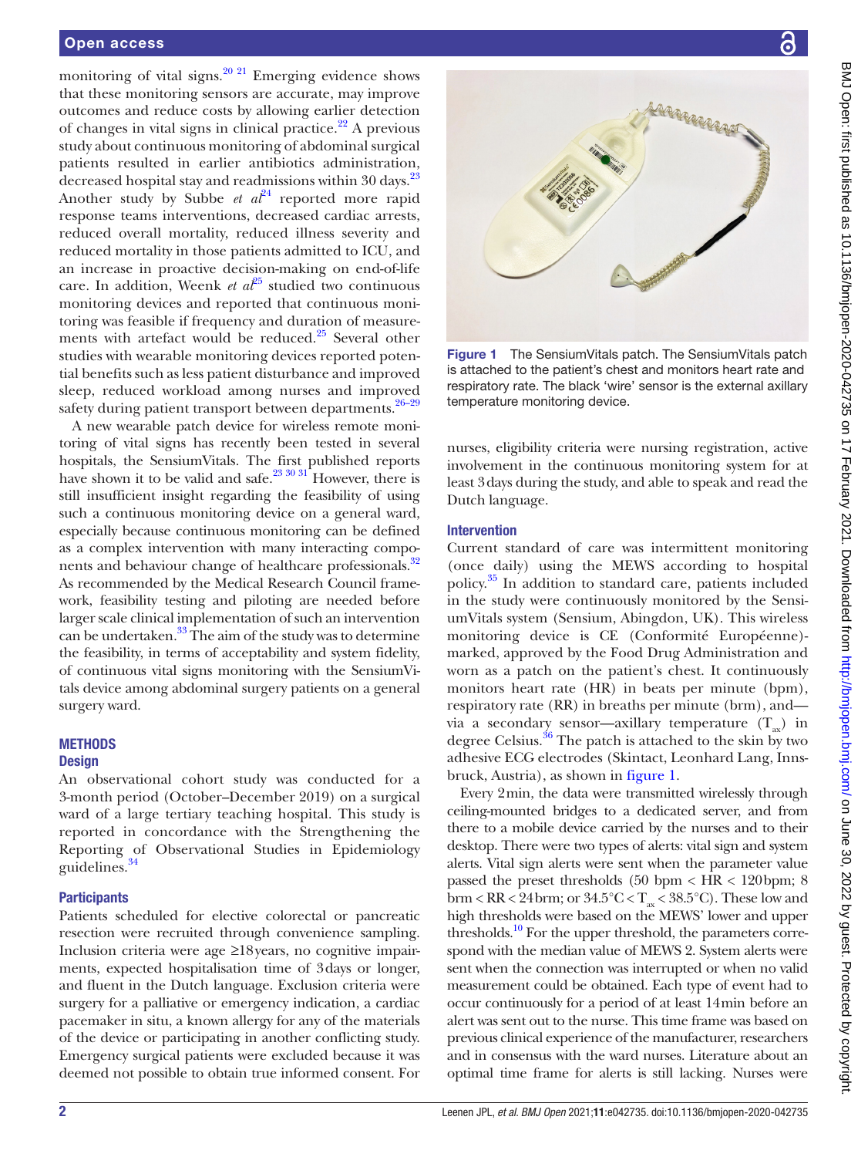monitoring of vital signs. $20\frac{20\frac{21}{21}}{20\frac{21}{21}}$  Emerging evidence shows that these monitoring sensors are accurate, may improve outcomes and reduce costs by allowing earlier detection of changes in vital signs in clinical practice. $^{22}$  A previous study about continuous monitoring of abdominal surgical patients resulted in earlier antibiotics administration, decreased hospital stay and readmissions within 30 days.<sup>23</sup> Another study by Subbe *et al*<sup>[24](#page-7-9)</sup> reported more rapid response teams interventions, decreased cardiac arrests, reduced overall mortality, reduced illness severity and reduced mortality in those patients admitted to ICU, and an increase in proactive decision-making on end-of-life care. In addition, Weenk *et al*<sup>[25](#page-7-10)</sup> studied two continuous monitoring devices and reported that continuous monitoring was feasible if frequency and duration of measure-ments with artefact would be reduced.<sup>[25](#page-7-10)</sup> Several other studies with wearable monitoring devices reported potential benefits such as less patient disturbance and improved sleep, reduced workload among nurses and improved safety during patient transport between departments.<sup>26-29</sup>

A new wearable patch device for wireless remote monitoring of vital signs has recently been tested in several hospitals, the SensiumVitals. The first published reports have shown it to be valid and safe.<sup>23 30 31</sup> However, there is still insufficient insight regarding the feasibility of using such a continuous monitoring device on a general ward, especially because continuous monitoring can be defined as a complex intervention with many interacting compo-nents and behaviour change of healthcare professionals.<sup>[32](#page-7-12)</sup> As recommended by the Medical Research Council framework, feasibility testing and piloting are needed before larger scale clinical implementation of such an intervention can be undertaken.<sup>[33](#page-7-13)</sup> The aim of the study was to determine the feasibility, in terms of acceptability and system fidelity, of continuous vital signs monitoring with the SensiumVitals device among abdominal surgery patients on a general surgery ward.

#### **METHODS Design**

An observational cohort study was conducted for a 3-month period (October–December 2019) on a surgical ward of a large tertiary teaching hospital. This study is reported in concordance with the Strengthening the Reporting of Observational Studies in Epidemiology guidelines.<sup>[34](#page-7-14)</sup>

## **Participants**

Patients scheduled for elective colorectal or pancreatic resection were recruited through convenience sampling. Inclusion criteria were age ≥18years, no cognitive impairments, expected hospitalisation time of 3days or longer, and fluent in the Dutch language. Exclusion criteria were surgery for a palliative or emergency indication, a cardiac pacemaker in situ, a known allergy for any of the materials of the device or participating in another conflicting study. Emergency surgical patients were excluded because it was deemed not possible to obtain true informed consent. For



Figure 1 The SensiumVitals patch. The SensiumVitals patch is attached to the patient's chest and monitors heart rate and respiratory rate. The black 'wire' sensor is the external axillary temperature monitoring device.

<span id="page-1-0"></span>nurses, eligibility criteria were nursing registration, active involvement in the continuous monitoring system for at least 3days during the study, and able to speak and read the Dutch language.

#### Intervention

Current standard of care was intermittent monitoring (once daily) using the MEWS according to hospital policy.[35](#page-7-15) In addition to standard care, patients included in the study were continuously monitored by the SensiumVitals system (Sensium, Abingdon, UK). This wireless monitoring device is CE (Conformité Européenne) marked, approved by the Food Drug Administration and worn as a patch on the patient's chest. It continuously monitors heart rate (HR) in beats per minute (bpm), respiratory rate (RR) in breaths per minute (brm), and via a secondary sensor—axillary temperature  $(T_{n})$  in degree Celsius.<sup>[36](#page-7-16)</sup> The patch is attached to the skin by two adhesive ECG electrodes (Skintact, Leonhard Lang, Innsbruck, Austria), as shown in [figure](#page-1-0) 1.

Every 2min, the data were transmitted wirelessly through ceiling-mounted bridges to a dedicated server, and from there to a mobile device carried by the nurses and to their desktop. There were two types of alerts: vital sign and system alerts. Vital sign alerts were sent when the parameter value passed the preset thresholds (50 bpm < HR < 120bpm; 8 brm < RR < 24 brm; or  $34.5^{\circ}$ C < T<sub>ax</sub> <  $38.5^{\circ}$ C). These low and high thresholds were based on the MEWS' lower and upper thresholds.<sup>10</sup> For the upper threshold, the parameters correspond with the median value of MEWS 2. System alerts were sent when the connection was interrupted or when no valid measurement could be obtained. Each type of event had to occur continuously for a period of at least 14min before an alert was sent out to the nurse. This time frame was based on previous clinical experience of the manufacturer, researchers and in consensus with the ward nurses. Literature about an optimal time frame for alerts is still lacking. Nurses were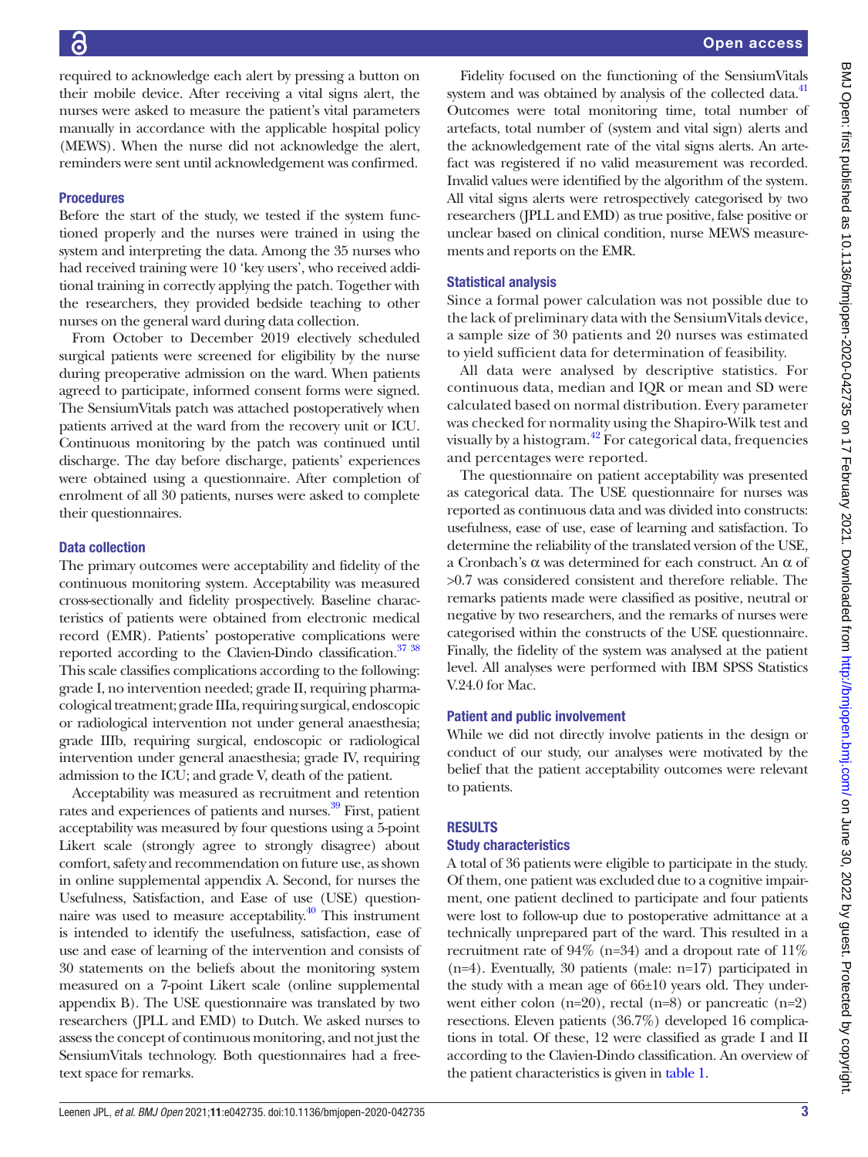BMJ Open: first published as 10.1136/bmjopen-2020-042735 on 17 February 2021. Downloaded from http://bmjopen.bmj.com/ on June 30, 2022 by guest. Protected by copyright. BMJ Open: first published as 10.1136/bmjopen-2020-042735 on 17 February 2021. Downloaded from <http://bmjopen.bmj.com/> on June 30, 2022 by guest. Protected by copyright.

required to acknowledge each alert by pressing a button on their mobile device. After receiving a vital signs alert, the nurses were asked to measure the patient's vital parameters manually in accordance with the applicable hospital policy (MEWS). When the nurse did not acknowledge the alert, reminders were sent until acknowledgement was confirmed.

## **Procedures**

Before the start of the study, we tested if the system functioned properly and the nurses were trained in using the system and interpreting the data. Among the 35 nurses who had received training were 10 'key users', who received additional training in correctly applying the patch. Together with the researchers, they provided bedside teaching to other nurses on the general ward during data collection.

From October to December 2019 electively scheduled surgical patients were screened for eligibility by the nurse during preoperative admission on the ward. When patients agreed to participate, informed consent forms were signed. The SensiumVitals patch was attached postoperatively when patients arrived at the ward from the recovery unit or ICU. Continuous monitoring by the patch was continued until discharge. The day before discharge, patients' experiences were obtained using a questionnaire. After completion of enrolment of all 30 patients, nurses were asked to complete their questionnaires.

## Data collection

The primary outcomes were acceptability and fidelity of the continuous monitoring system. Acceptability was measured cross-sectionally and fidelity prospectively. Baseline characteristics of patients were obtained from electronic medical record (EMR). Patients' postoperative complications were reported according to the Clavien-Dindo classification.<sup>37</sup> <sup>38</sup> This scale classifies complications according to the following: grade I, no intervention needed; grade II, requiring pharmacological treatment; grade IIIa, requiring surgical, endoscopic or radiological intervention not under general anaesthesia; grade IIIb, requiring surgical, endoscopic or radiological intervention under general anaesthesia; grade IV, requiring admission to the ICU; and grade V, death of the patient.

Acceptability was measured as recruitment and retention rates and experiences of patients and nurses.<sup>39</sup> First, patient acceptability was measured by four questions using a 5-point Likert scale (strongly agree to strongly disagree) about comfort, safety and recommendation on future use, as shown in [online supplemental appendix A.](https://dx.doi.org/10.1136/bmjopen-2020-042735) Second, for nurses the Usefulness, Satisfaction, and Ease of use (USE) questionnaire was used to measure acceptability. $40$  This instrument is intended to identify the usefulness, satisfaction, ease of use and ease of learning of the intervention and consists of 30 statements on the beliefs about the monitoring system measured on a 7-point Likert scale [\(online supplemental](https://dx.doi.org/10.1136/bmjopen-2020-042735) [appendix B\)](https://dx.doi.org/10.1136/bmjopen-2020-042735). The USE questionnaire was translated by two researchers (JPLL and EMD) to Dutch. We asked nurses to assess the concept of continuous monitoring, and not just the SensiumVitals technology. Both questionnaires had a freetext space for remarks.

Fidelity focused on the functioning of the SensiumVitals system and was obtained by analysis of the collected data.<sup>41</sup> Outcomes were total monitoring time, total number of artefacts, total number of (system and vital sign) alerts and the acknowledgement rate of the vital signs alerts. An artefact was registered if no valid measurement was recorded. Invalid values were identified by the algorithm of the system. All vital signs alerts were retrospectively categorised by two researchers (JPLL and EMD) as true positive, false positive or unclear based on clinical condition, nurse MEWS measurements and reports on the EMR.

## Statistical analysis

Since a formal power calculation was not possible due to the lack of preliminary data with the SensiumVitals device, a sample size of 30 patients and 20 nurses was estimated to yield sufficient data for determination of feasibility.

All data were analysed by descriptive statistics. For continuous data, median and IQR or mean and SD were calculated based on normal distribution. Every parameter was checked for normality using the Shapiro-Wilk test and visually by a histogram.<sup>[42](#page-7-22)</sup> For categorical data, frequencies and percentages were reported.

The questionnaire on patient acceptability was presented as categorical data. The USE questionnaire for nurses was reported as continuous data and was divided into constructs: usefulness, ease of use, ease of learning and satisfaction. To determine the reliability of the translated version of the USE, a Cronbach's α was determined for each construct. An α of >0.7 was considered consistent and therefore reliable. The remarks patients made were classified as positive, neutral or negative by two researchers, and the remarks of nurses were categorised within the constructs of the USE questionnaire. Finally, the fidelity of the system was analysed at the patient level. All analyses were performed with IBM SPSS Statistics V.24.0 for Mac.

## Patient and public involvement

While we did not directly involve patients in the design or conduct of our study, our analyses were motivated by the belief that the patient acceptability outcomes were relevant to patients.

## RESULTS

## Study characteristics

A total of 36 patients were eligible to participate in the study. Of them, one patient was excluded due to a cognitive impairment, one patient declined to participate and four patients were lost to follow-up due to postoperative admittance at a technically unprepared part of the ward. This resulted in a recruitment rate of 94% (n=34) and a dropout rate of 11% (n=4). Eventually, 30 patients (male: n=17) participated in the study with a mean age of 66±10 years old. They underwent either colon  $(n=20)$ , rectal  $(n=8)$  or pancreatic  $(n=2)$ resections. Eleven patients (36.7%) developed 16 complications in total. Of these, 12 were classified as grade I and II according to the Clavien-Dindo classification. An overview of the patient characteristics is given in [table](#page-3-0) 1.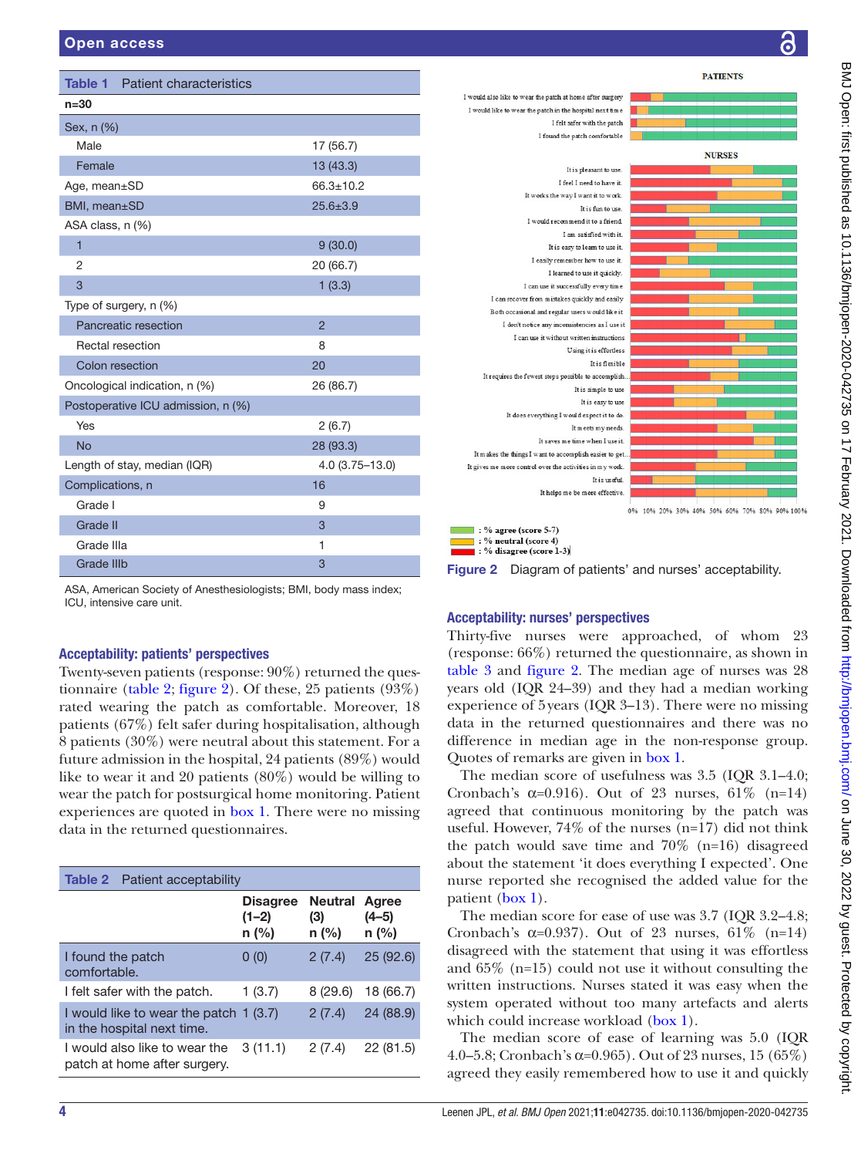<span id="page-3-0"></span>

| <b>Table 1</b> Patient characteristics |                    |  |  |  |  |
|----------------------------------------|--------------------|--|--|--|--|
| $n = 30$                               |                    |  |  |  |  |
| Sex, n (%)                             |                    |  |  |  |  |
| Male                                   | 17 (56.7)          |  |  |  |  |
| Female                                 | 13(43.3)           |  |  |  |  |
| Age, mean±SD                           | $66.3 + 10.2$      |  |  |  |  |
| BMI, mean±SD                           | $25.6 \pm 3.9$     |  |  |  |  |
| ASA class, n (%)                       |                    |  |  |  |  |
| $\overline{1}$                         | 9(30.0)            |  |  |  |  |
| $\overline{2}$                         | 20 (66.7)          |  |  |  |  |
| 3                                      | 1(3.3)             |  |  |  |  |
| Type of surgery, n (%)                 |                    |  |  |  |  |
| Pancreatic resection                   | $\overline{2}$     |  |  |  |  |
| Rectal resection                       | 8                  |  |  |  |  |
| Colon resection                        | 20                 |  |  |  |  |
| Oncological indication, n (%)          | 26 (86.7)          |  |  |  |  |
| Postoperative ICU admission, n (%)     |                    |  |  |  |  |
| Yes                                    | 2(6.7)             |  |  |  |  |
| <b>No</b>                              | 28 (93.3)          |  |  |  |  |
| Length of stay, median (IQR)           | $4.0(3.75 - 13.0)$ |  |  |  |  |
| Complications, n                       | 16                 |  |  |  |  |
| Grade I                                | 9                  |  |  |  |  |
| <b>Grade II</b>                        | 3                  |  |  |  |  |
| Grade IIIa                             | 1                  |  |  |  |  |
| <b>Grade IIIb</b>                      | 3                  |  |  |  |  |

ASA, American Society of Anesthesiologists; BMI, body mass index; ICU, intensive care unit.

## Acceptability: patients' perspectives

Twenty-seven patients (response: 90%) returned the questionnaire [\(table](#page-3-1) 2; [figure](#page-3-2) 2). Of these, 25 patients (93%) rated wearing the patch as comfortable. Moreover, 18 patients (67%) felt safer during hospitalisation, although 8 patients (30%) were neutral about this statement. For a future admission in the hospital, 24 patients (89%) would like to wear it and 20 patients (80%) would be willing to wear the patch for postsurgical home monitoring. Patient experiences are quoted in [box](#page-4-0) 1. There were no missing data in the returned questionnaires.

<span id="page-3-1"></span>

| <b>Table 2</b> Patient acceptability                                 |                                     |                                  |                           |
|----------------------------------------------------------------------|-------------------------------------|----------------------------------|---------------------------|
|                                                                      | <b>Disagree</b><br>$(1-2)$<br>n (%) | <b>Neutral</b><br>(3)<br>$n$ (%) | Agree<br>(4–5)<br>$n$ (%) |
| I found the patch<br>comfortable.                                    | 0(0)                                | 2(7.4)                           | 25(92.6)                  |
| I felt safer with the patch.                                         | 1(3.7)                              | 8(29.6)                          | 18 (66.7)                 |
| I would like to wear the patch 1 (3.7)<br>in the hospital next time. |                                     | 2(7.4)                           | 24 (88.9)                 |
| I would also like to wear the<br>patch at home after surgery.        | 3(11.1)                             | 2(7.4)                           | 22(81.5)                  |



<span id="page-3-2"></span>: % neutral (score 4) : % disagree (score 1-3)

Figure 2 Diagram of patients' and nurses' acceptability.

## Acceptability: nurses' perspectives

Thirty-five nurses were approached, of whom 23 (response: 66%) returned the questionnaire, as shown in [table](#page-5-0) 3 and [figure](#page-3-2) 2. The median age of nurses was 28 years old (IQR 24–39) and they had a median working experience of 5years (IQR 3–13). There were no missing data in the returned questionnaires and there was no difference in median age in the non-response group. Quotes of remarks are given in [box](#page-4-0) 1.

The median score of usefulness was 3.5 (IQR 3.1–4.0; Cronbach's  $\alpha=0.916$ ). Out of 23 nurses,  $61\%$  (n=14) agreed that continuous monitoring by the patch was useful. However, 74% of the nurses (n=17) did not think the patch would save time and 70% (n=16) disagreed about the statement 'it does everything I expected'. One nurse reported she recognised the added value for the patient ([box](#page-4-0) 1).

The median score for ease of use was 3.7 (IQR 3.2–4.8; Cronbach's  $\alpha=0.937$ . Out of 23 nurses,  $61\%$  (n=14) disagreed with the statement that using it was effortless and 65% (n=15) could not use it without consulting the written instructions. Nurses stated it was easy when the system operated without too many artefacts and alerts which could increase workload [\(box](#page-4-0) 1).

The median score of ease of learning was 5.0 (IQR 4.0–5.8; Cronbach's α=0.965). Out of 23 nurses, 15 (65%) agreed they easily remembered how to use it and quickly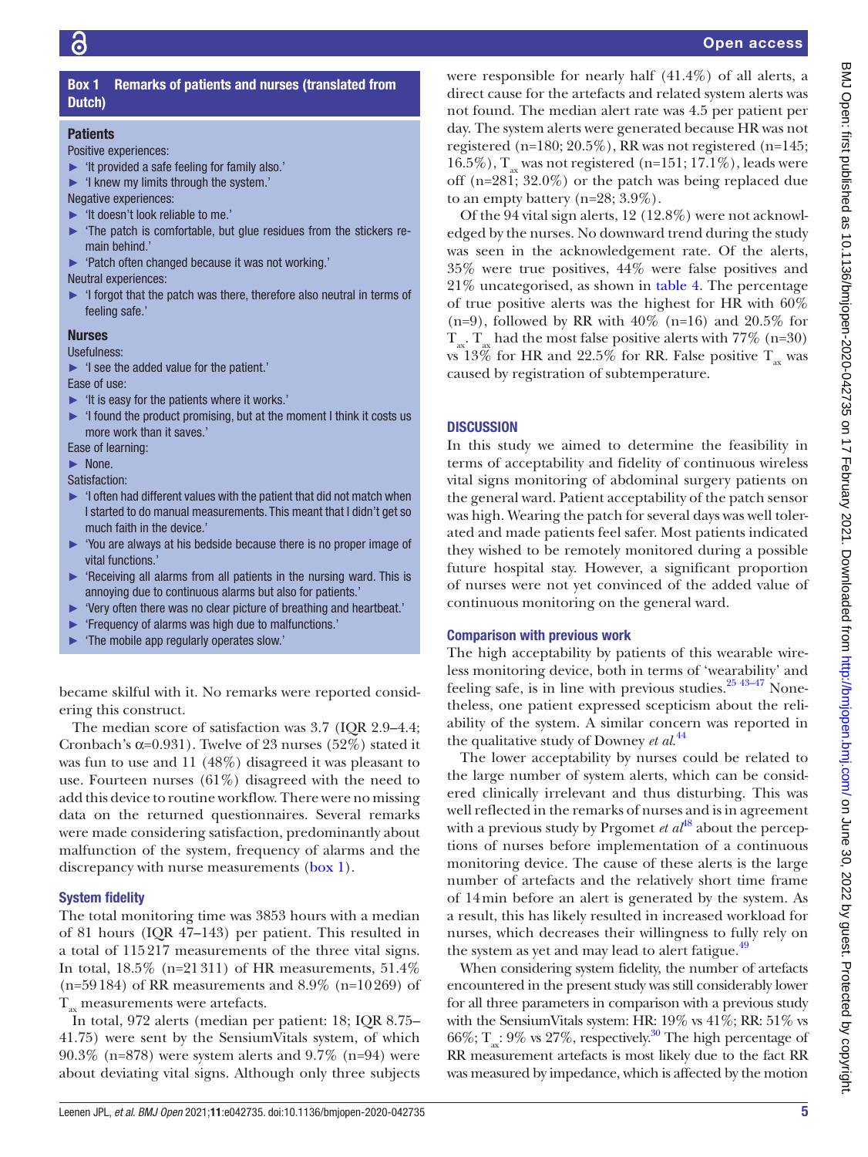Dutch)

## <span id="page-4-0"></span>**Patients** Positive experiences: ► 'It provided a safe feeling for family also.' ► 'I knew my limits through the system.' Negative experiences: ► 'It doesn't look reliable to me.' ► 'The patch is comfortable, but glue residues from the stickers remain behind.' ► 'Patch often changed because it was not working.' Neutral experiences: ► 'I forgot that the patch was there, therefore also neutral in terms of feeling safe.' Nurses Usefulness:

Box 1 Remarks of patients and nurses (translated from

► 'I see the added value for the patient.'

Ease of use:

- ► 'It is easy for the patients where it works.'
- ► 'I found the product promising, but at the moment I think it costs us more work than it saves.'

Ease of learning:

► None.

Satisfaction:

- $\blacktriangleright$  'I often had different values with the patient that did not match when I started to do manual measurements. This meant that I didn't get so much faith in the device.'
- ► 'You are always at his bedside because there is no proper image of vital functions.'
- ► 'Receiving all alarms from all patients in the nursing ward. This is annoying due to continuous alarms but also for patients.'
- ► 'Very often there was no clear picture of breathing and heartbeat.'
- ► 'Frequency of alarms was high due to malfunctions.'
- ► 'The mobile app regularly operates slow.'

became skilful with it. No remarks were reported considering this construct.

The median score of satisfaction was 3.7 (IQR 2.9–4.4; Cronbach's  $\alpha$ =0.931). Twelve of 23 nurses (52%) stated it was fun to use and 11 (48%) disagreed it was pleasant to use. Fourteen nurses (61%) disagreed with the need to add this device to routine workflow. There were no missing data on the returned questionnaires. Several remarks were made considering satisfaction, predominantly about malfunction of the system, frequency of alarms and the discrepancy with nurse measurements [\(box](#page-4-0) 1).

## System fidelity

The total monitoring time was 3853 hours with a median of 81 hours (IQR 47–143) per patient. This resulted in a total of 115217 measurements of the three vital signs. In total, 18.5% (n=21311) of HR measurements, 51.4% (n=59184) of RR measurements and  $8.9\%$  (n=10269) of  $T_{\infty}$  measurements were artefacts.

In total, 972 alerts (median per patient: 18; IQR 8.75– 41.75) were sent by the SensiumVitals system, of which 90.3% (n=878) were system alerts and 9.7% (n=94) were about deviating vital signs. Although only three subjects

were responsible for nearly half (41.4%) of all alerts, a direct cause for the artefacts and related system alerts was not found. The median alert rate was 4.5 per patient per day. The system alerts were generated because HR was not registered (n=180; 20.5%), RR was not registered (n=145; 16.5%),  $T_{av}$  was not registered (n=151; 17.1%), leads were off (n=281; 32.0%) or the patch was being replaced due to an empty battery (n=28; 3.9%).

Of the 94 vital sign alerts, 12 (12.8%) were not acknowledged by the nurses. No downward trend during the study was seen in the acknowledgement rate. Of the alerts, 35% were true positives, 44% were false positives and 21% uncategorised, as shown in [table](#page-6-3) 4. The percentage of true positive alerts was the highest for HR with 60%  $(n=9)$ , followed by RR with  $40\%$   $(n=16)$  and  $20.5\%$  for  $T_{av}$ .  $T_{av}$  had the most false positive alerts with 77% (n=30) vs  $13\%$  for HR and  $22.5\%$  for RR. False positive T<sub>ax</sub> was caused by registration of subtemperature.

#### **DISCUSSION**

In this study we aimed to determine the feasibility in terms of acceptability and fidelity of continuous wireless vital signs monitoring of abdominal surgery patients on the general ward. Patient acceptability of the patch sensor was high. Wearing the patch for several days was well tolerated and made patients feel safer. Most patients indicated they wished to be remotely monitored during a possible future hospital stay. However, a significant proportion of nurses were not yet convinced of the added value of continuous monitoring on the general ward.

#### Comparison with previous work

The high acceptability by patients of this wearable wireless monitoring device, both in terms of 'wearability' and feeling safe, is in line with previous studies. $25\frac{43-47}{8}$  Nonetheless, one patient expressed scepticism about the reliability of the system. A similar concern was reported in the qualitative study of Downey *et al*. [44](#page-7-23)

The lower acceptability by nurses could be related to the large number of system alerts, which can be considered clinically irrelevant and thus disturbing. This was well reflected in the remarks of nurses and is in agreement with a previous study by Prgomet *et*  $a^{48}$  $a^{48}$  $a^{48}$  about the perceptions of nurses before implementation of a continuous monitoring device. The cause of these alerts is the large number of artefacts and the relatively short time frame of 14min before an alert is generated by the system. As a result, this has likely resulted in increased workload for nurses, which decreases their willingness to fully rely on the system as yet and may lead to alert fatigue.<sup>49</sup>

When considering system fidelity, the number of artefacts encountered in the present study was still considerably lower for all three parameters in comparison with a previous study with the SensiumVitals system: HR: 19% vs 41%; RR: 51% vs 66%;  $T_{\gamma}$ : 9% vs 27%, respectively.<sup>[30](#page-7-26)</sup> The high percentage of RR measurement artefacts is most likely due to the fact RR was measured by impedance, which is affected by the motion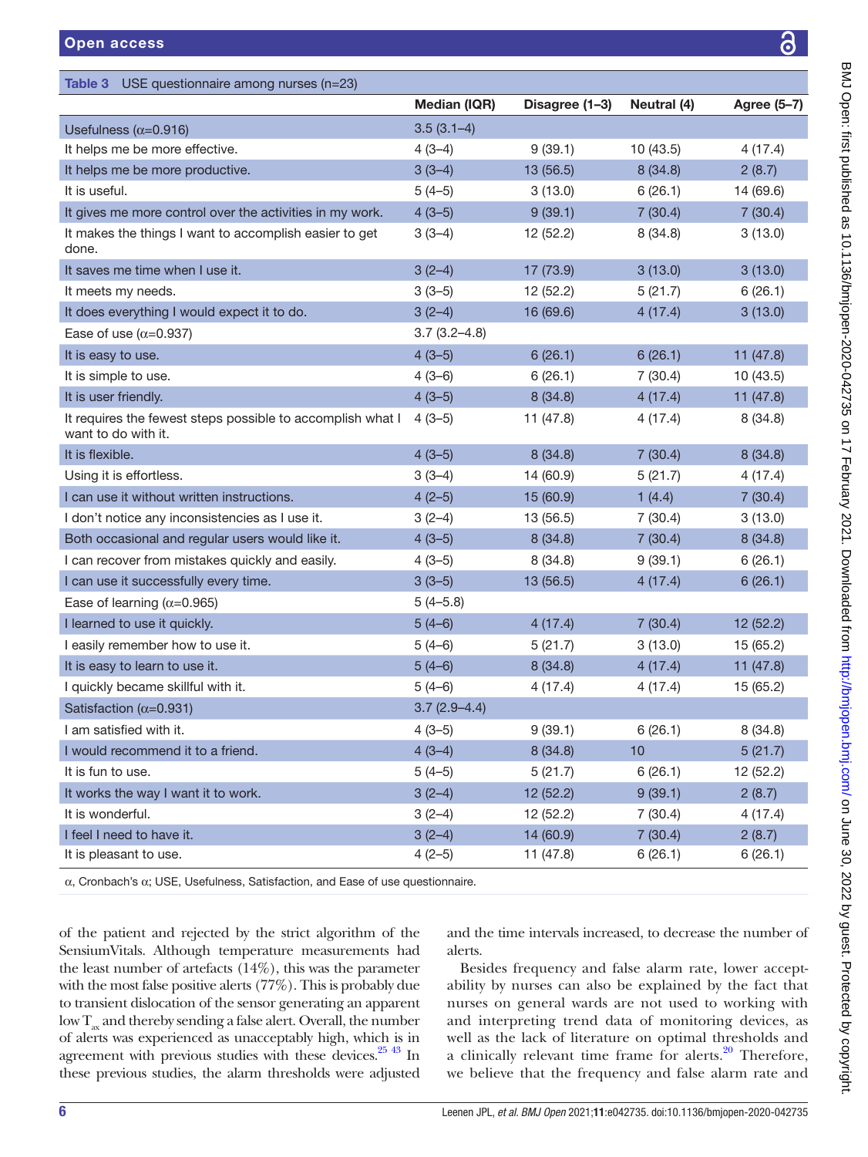<span id="page-5-0"></span>Table 3 USE questionnaire among nurses (n=23)

|                                                                                   | Median (IQR)     | Disagree (1-3) | Neutral (4) | Agree (5-7) |
|-----------------------------------------------------------------------------------|------------------|----------------|-------------|-------------|
| Usefulness ( $\alpha$ =0.916)                                                     | $3.5(3.1-4)$     |                |             |             |
| It helps me be more effective.                                                    | $4(3-4)$         | 9(39.1)        | 10 (43.5)   | 4(17.4)     |
| It helps me be more productive.                                                   | $3(3-4)$         | 13 (56.5)      | 8(34.8)     | 2(8.7)      |
| It is useful.                                                                     | $5(4-5)$         | 3(13.0)        | 6(26.1)     | 14 (69.6)   |
| It gives me more control over the activities in my work.                          | $4(3-5)$         | 9(39.1)        | 7(30.4)     | 7(30.4)     |
| It makes the things I want to accomplish easier to get<br>done.                   | $3(3-4)$         | 12 (52.2)      | 8(34.8)     | 3(13.0)     |
| It saves me time when I use it.                                                   | $3(2-4)$         | 17 (73.9)      | 3(13.0)     | 3(13.0)     |
| It meets my needs.                                                                | $3(3-5)$         | 12 (52.2)      | 5(21.7)     | 6(26.1)     |
| It does everything I would expect it to do.                                       | $3(2-4)$         | 16 (69.6)      | 4(17.4)     | 3(13.0)     |
| Ease of use ( $\alpha$ =0.937)                                                    | $3.7(3.2 - 4.8)$ |                |             |             |
| It is easy to use.                                                                | $4(3-5)$         | 6(26.1)        | 6(26.1)     | 11(47.8)    |
| It is simple to use.                                                              | $4(3-6)$         | 6(26.1)        | 7(30.4)     | 10(43.5)    |
| It is user friendly.                                                              | $4(3-5)$         | 8(34.8)        | 4(17.4)     | 11 (47.8)   |
| It requires the fewest steps possible to accomplish what I<br>want to do with it. | $4(3-5)$         | 11 (47.8)      | 4(17.4)     | 8 (34.8)    |
| It is flexible.                                                                   | $4(3-5)$         | 8(34.8)        | 7(30.4)     | 8 (34.8)    |
| Using it is effortless.                                                           | $3(3-4)$         | 14 (60.9)      | 5(21.7)     | 4(17.4)     |
| I can use it without written instructions.                                        | $4(2-5)$         | 15 (60.9)      | 1(4.4)      | 7(30.4)     |
| I don't notice any inconsistencies as I use it.                                   | $3(2-4)$         | 13 (56.5)      | 7(30.4)     | 3(13.0)     |
| Both occasional and regular users would like it.                                  | $4(3-5)$         | 8(34.8)        | 7(30.4)     | 8(34.8)     |
| I can recover from mistakes quickly and easily.                                   | $4(3-5)$         | 8(34.8)        | 9(39.1)     | 6(26.1)     |
| I can use it successfully every time.                                             | $3(3-5)$         | 13(56.5)       | 4(17.4)     | 6(26.1)     |
| Ease of learning ( $\alpha$ =0.965)                                               | $5(4-5.8)$       |                |             |             |
| I learned to use it quickly.                                                      | $5(4-6)$         | 4(17.4)        | 7(30.4)     | 12(52.2)    |
| I easily remember how to use it.                                                  | $5(4-6)$         | 5(21.7)        | 3(13.0)     | 15 (65.2)   |
| It is easy to learn to use it.                                                    | $5(4-6)$         | 8(34.8)        | 4(17.4)     | 11 $(47.8)$ |
| I quickly became skillful with it.                                                | $5(4-6)$         | 4 (17.4)       | 4(17.4)     | 15 (65.2)   |
| Satisfaction ( $\alpha$ =0.931)                                                   | $3.7(2.9 - 4.4)$ |                |             |             |
| I am satisfied with it.                                                           | $4(3-5)$         | 9(39.1)        | 6(26.1)     | 8(34.8)     |
| I would recommend it to a friend.                                                 | $4(3-4)$         | 8(34.8)        | 10          | 5(21.7)     |
| It is fun to use.                                                                 | $5(4-5)$         | 5(21.7)        | 6(26.1)     | 12 (52.2)   |
| It works the way I want it to work.                                               | $3(2-4)$         | 12(52.2)       | 9(39.1)     | 2(8.7)      |
| It is wonderful.                                                                  | $3(2-4)$         | 12 (52.2)      | 7(30.4)     | 4(17.4)     |
| I feel I need to have it.                                                         | $3(2-4)$         | 14 (60.9)      | 7(30.4)     | 2(8.7)      |
| It is pleasant to use.                                                            | $4(2-5)$         | 11 (47.8)      | 6(26.1)     | 6(26.1)     |

α, Cronbach's α; USE, Usefulness, Satisfaction, and Ease of use questionnaire.

of the patient and rejected by the strict algorithm of the SensiumVitals. Although temperature measurements had the least number of artefacts (14%), this was the parameter with the most false positive alerts (77%). This is probably due to transient dislocation of the sensor generating an apparent  $\text{low T}$ <sub>a</sub> and thereby sending a false alert. Overall, the number of alerts was experienced as unacceptably high, which is in agreement with previous studies with these devices. $25\frac{43}{11}$  In these previous studies, the alarm thresholds were adjusted

and the time intervals increased, to decrease the number of alerts.

Besides frequency and false alarm rate, lower acceptability by nurses can also be explained by the fact that nurses on general wards are not used to working with and interpreting trend data of monitoring devices, as well as the lack of literature on optimal thresholds and a clinically relevant time frame for alerts. $20$  Therefore, we believe that the frequency and false alarm rate and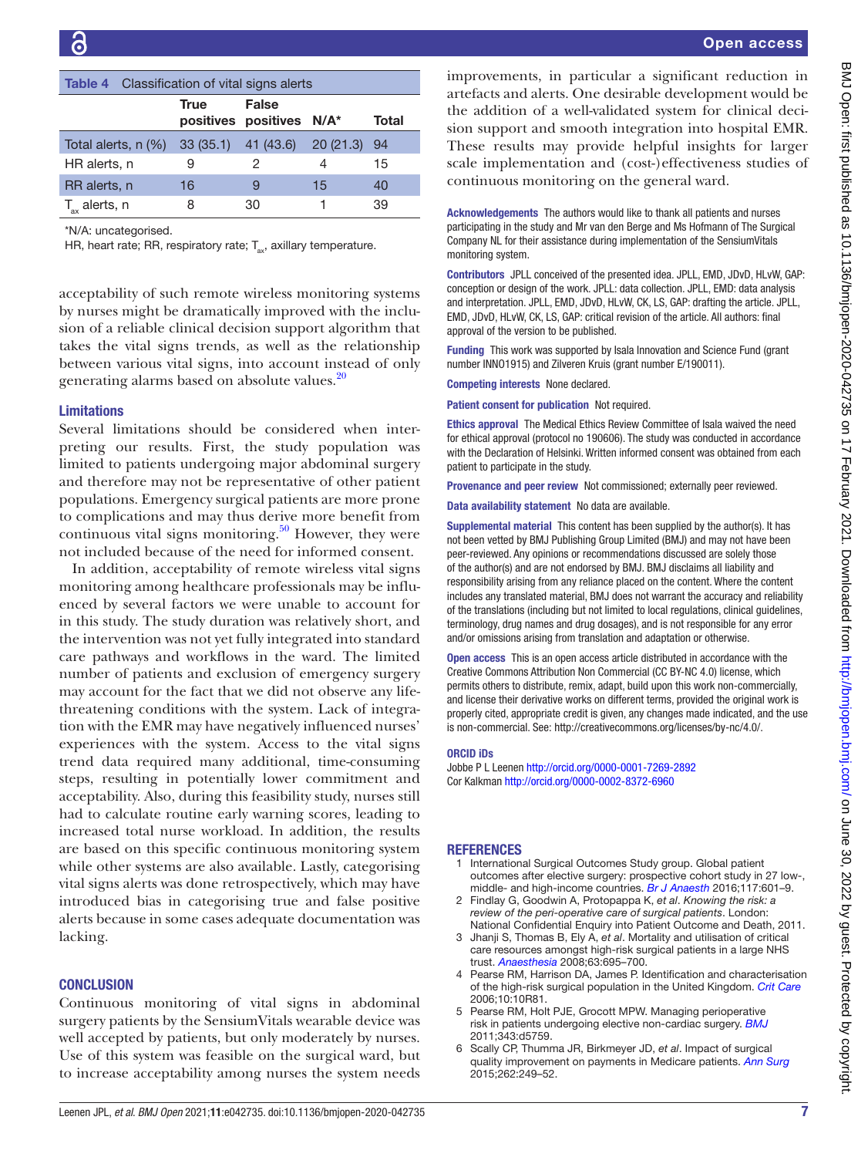<span id="page-6-3"></span>Table 4 Classification of vital signs alerts

|                                                                                                                                                                                                                                                                                                                                                                            | <b>True</b><br>positives | <b>False</b><br>positives | $N/A^*$  | <b>Total</b> |
|----------------------------------------------------------------------------------------------------------------------------------------------------------------------------------------------------------------------------------------------------------------------------------------------------------------------------------------------------------------------------|--------------------------|---------------------------|----------|--------------|
| Total alerts, n (%)                                                                                                                                                                                                                                                                                                                                                        | 33(35.1)                 | 41 (43.6)                 | 20(21.3) | 94           |
| HR alerts, n                                                                                                                                                                                                                                                                                                                                                               | 9                        | 2                         | 4        | 15           |
| RR alerts, n                                                                                                                                                                                                                                                                                                                                                               | 16                       | 9                         | 15       | 40           |
| $T_{ax}$ alerts, n                                                                                                                                                                                                                                                                                                                                                         | 8                        | 30                        | 1        | 39           |
| *N/A: uncategorised.<br>HR, heart rate; RR, respiratory rate; $T_{ax}$ , axillary temperature.                                                                                                                                                                                                                                                                             |                          |                           |          |              |
| acceptability of such remote wireless monitoring systems<br>by nurses might be dramatically improved with the inclu-<br>sion of a reliable clinical decision support algorithm that<br>takes the vital signs trends, as well as the relationship<br>between various vital signs, into account instead of only<br>generating alarms based on absolute values. <sup>20</sup> |                          |                           |          |              |
| <b>Limitations</b>                                                                                                                                                                                                                                                                                                                                                         |                          |                           |          |              |
| Several limitations should be considered when inter-<br>preting our results. First, the study population was<br>limited to patients undergoing major abdominal surgery<br>and therefore may not be representative of other patient<br>populations Emergency surgical patients are more prope                                                                               |                          |                           |          |              |

limited to pa and therefor populations. Emergency surgical patients are more prone to complications and may thus derive more benefit from continuous vital signs monitoring.<sup>50</sup> However, they were not included because of the need for informed consent.

In addition, acceptability of remote wireless vital signs monitoring among healthcare professionals may be influenced by several factors we were unable to account for in this study. The study duration was relatively short, and the intervention was not yet fully integrated into standard care pathways and workflows in the ward. The limited number of patients and exclusion of emergency surgery may account for the fact that we did not observe any lifethreatening conditions with the system. Lack of integration with the EMR may have negatively influenced nurses' experiences with the system. Access to the vital signs trend data required many additional, time-consuming steps, resulting in potentially lower commitment and acceptability. Also, during this feasibility study, nurses still had to calculate routine early warning scores, leading to increased total nurse workload. In addition, the results are based on this specific continuous monitoring system while other systems are also available. Lastly, categorising vital signs alerts was done retrospectively, which may have introduced bias in categorising true and false positive alerts because in some cases adequate documentation was lacking.

## **CONCLUSION**

Continuous monitoring of vital signs in abdominal surgery patients by the SensiumVitals wearable device was well accepted by patients, but only moderately by nurses. Use of this system was feasible on the surgical ward, but to increase acceptability among nurses the system needs

improvements, in particular a significant reduction in artefacts and alerts. One desirable development would be of a well-validated system for clinical deciand smooth integration into hospital EMR. may provide helpful insights for larger entation and (cost-)effectiveness studies of contioning on the general ward.

ts The authors would like to thank all patients and nurses study and Mr van den Berge and Ms Hofmann of The Surgical ir assistance during implementation of the SensiumVitals

conceived of the presented idea. JPLL, EMD, JDvD, HLvW, GAP: n of the work. JPLL: data collection. JPLL, EMD: data analysis JPLL, EMD, JDvD, HLvW, CK, LS, GAP: drafting the article. JPLL, CK, LS, GAP: critical revision of the article. All authors: final ion to be published.

was supported by Isala Innovation and Science Fund (grant and Zilveren Kruis (grant number E/190011).

#### ts None declared.

publication Not required.

e Medical Ethics Review Committee of Isala waived the need (protocol no 190606). The study was conducted in accordance of Helsinki. Written informed consent was obtained from each e in the study.

Per review Not commissioned; externally peer reviewed.

Data availability statement No data are available.

Supplemental material This content has been supplied by the author(s). It has not been vetted by BMJ Publishing Group Limited (BMJ) and may not have been peer-reviewed. Any opinions or recommendations discussed are solely those of the author(s) and are not endorsed by BMJ. BMJ disclaims all liability and responsibility arising from any reliance placed on the content. Where the content includes any translated material, BMJ does not warrant the accuracy and reliability of the translations (including but not limited to local regulations, clinical guidelines, terminology, drug names and drug dosages), and is not responsible for any error and/or omissions arising from translation and adaptation or otherwise.

Open access This is an open access article distributed in accordance with the Creative Commons Attribution Non Commercial (CC BY-NC 4.0) license, which permits others to distribute, remix, adapt, build upon this work non-commercially, and license their derivative works on different terms, provided the original work is properly cited, appropriate credit is given, any changes made indicated, and the use is non-commercial. See: [http://creativecommons.org/licenses/by-nc/4.0/.](http://creativecommons.org/licenses/by-nc/4.0/)

#### ORCID iDs

Jobbe P L Leenen <http://orcid.org/0000-0001-7269-2892> Cor Kalkman <http://orcid.org/0000-0002-8372-6960>

#### **REFERENCES**

- <span id="page-6-0"></span>1 International Surgical Outcomes Study group. Global patient outcomes after elective surgery: prospective cohort study in 27 low-, middle- and high-income countries. *[Br J Anaesth](http://dx.doi.org/10.1093/bja/aew316)* 2016;117:601–9.
- <span id="page-6-1"></span>2 Findlay G, Goodwin A, Protopappa K, *et al*. *Knowing the risk: a review of the peri-operative care of surgical patients*. London: National Confidential Enquiry into Patient Outcome and Death, 2011.
- 3 Jhanji S, Thomas B, Ely A, *et al*. Mortality and utilisation of critical care resources amongst high-risk surgical patients in a large NHS trust. *[Anaesthesia](http://dx.doi.org/10.1111/j.1365-2044.2008.05560.x)* 2008;63:695–700.
- 4 Pearse RM, Harrison DA, James P. Identification and characterisation of the high-risk surgical population in the United Kingdom. *[Crit Care](http://dx.doi.org/10.1186/cc4928)* 2006;10:10R81.
- <span id="page-6-2"></span>5 Pearse RM, Holt PJE, Grocott MPW. Managing perioperative risk in patients undergoing elective non-cardiac surgery. *[BMJ](http://dx.doi.org/10.1136/bmj.d5759)* 2011;343:d5759.
- 6 Scally CP, Thumma JR, Birkmeyer JD, *et al*. Impact of surgical quality improvement on payments in Medicare patients. *[Ann Surg](http://dx.doi.org/10.1097/SLA.0000000000001069)* 2015;262:249–52.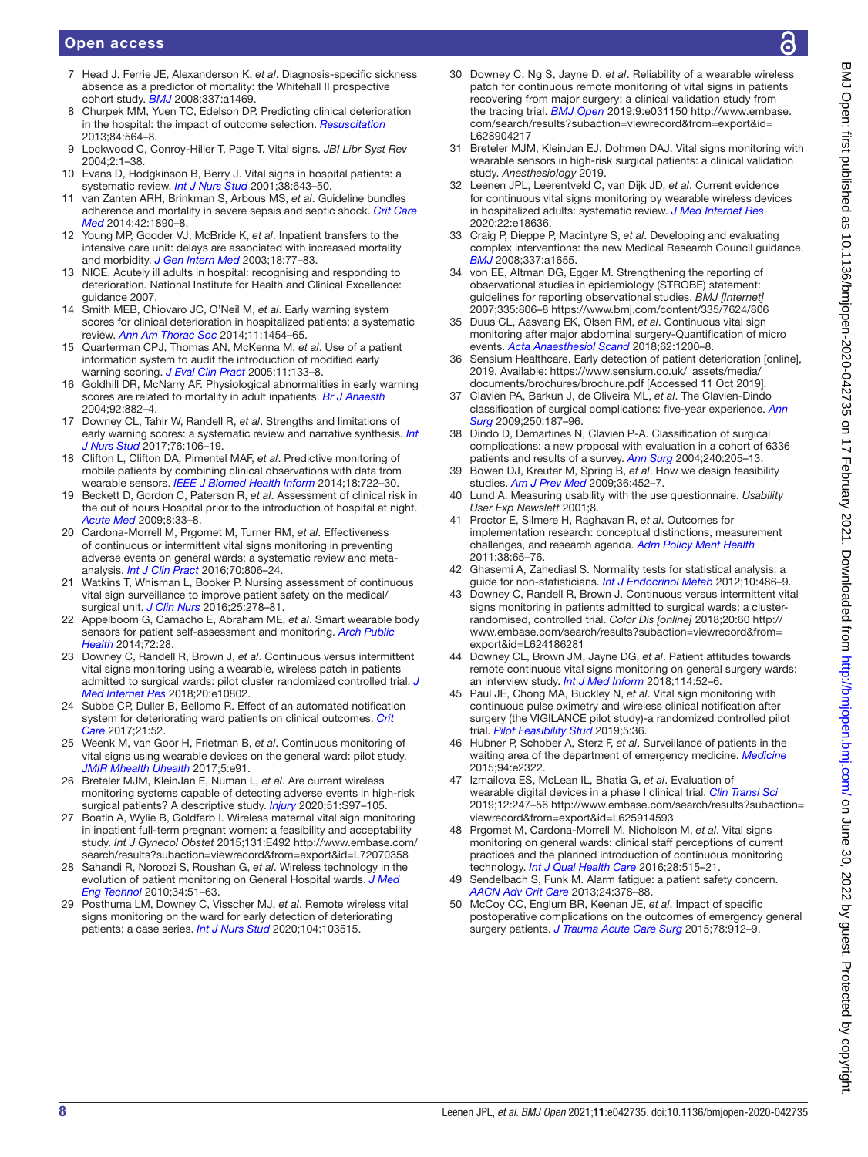## Open access

- 7 Head J, Ferrie JE, Alexanderson K, *et al*. Diagnosis-specific sickness absence as a predictor of mortality: the Whitehall II prospective cohort study. *[BMJ](http://dx.doi.org/10.1136/bmj.a1469)* 2008;337:a1469.
- <span id="page-7-0"></span>8 Churpek MM, Yuen TC, Edelson DP. Predicting clinical deterioration in the hospital: the impact of outcome selection. *[Resuscitation](http://dx.doi.org/10.1016/j.resuscitation.2012.09.024)* 2013;84:564–8.
- <span id="page-7-1"></span>9 Lockwood C, Conroy-Hiller T, Page T. Vital signs. *JBI Libr Syst Rev* 2004;2:1–38.
- <span id="page-7-17"></span>10 Evans D, Hodgkinson B, Berry J. Vital signs in hospital patients: a systematic review. *[Int J Nurs Stud](http://dx.doi.org/10.1016/S0020-7489(00)00119-X)* 2001;38:643–50.
- <span id="page-7-2"></span>11 van Zanten ARH, Brinkman S, Arbous MS, *et al*. Guideline bundles adherence and mortality in severe sepsis and septic shock. *[Crit Care](http://dx.doi.org/10.1097/CCM.0000000000000297)  [Med](http://dx.doi.org/10.1097/CCM.0000000000000297)* 2014;42:1890–8.
- 12 Young MP, Gooder VJ, McBride K, *et al*. Inpatient transfers to the intensive care unit: delays are associated with increased mortality and morbidity. *[J Gen Intern Med](http://dx.doi.org/10.1046/j.1525-1497.2003.20441.x)* 2003;18:77–83.
- 13 NICE. Acutely ill adults in hospital: recognising and responding to deterioration. National Institute for Health and Clinical Excellence: guidance 2007.
- <span id="page-7-3"></span>14 Smith MEB, Chiovaro JC, O'Neil M, *et al*. Early warning system scores for clinical deterioration in hospitalized patients: a systematic review. *[Ann Am Thorac Soc](http://dx.doi.org/10.1513/AnnalsATS.201403-102OC)* 2014;11:1454–65.
- 15 Quarterman CPJ, Thomas AN, McKenna M, *et al*. Use of a patient information system to audit the introduction of modified early warning scoring. *[J Eval Clin Pract](http://dx.doi.org/10.1111/j.1365-2753.2005.00513.x)* 2005;11:133–8.
- 16 Goldhill DR, McNarry AF. Physiological abnormalities in early warning scores are related to mortality in adult inpatients. *[Br J Anaesth](http://dx.doi.org/10.1093/bja/aeh113)* 2004;92:882–4.
- <span id="page-7-4"></span>17 Downey CL, Tahir W, Randell R, *et al*. Strengths and limitations of early warning scores: a systematic review and narrative synthesis. *[Int](http://dx.doi.org/10.1016/j.ijnurstu.2017.09.003)  [J Nurs Stud](http://dx.doi.org/10.1016/j.ijnurstu.2017.09.003)* 2017;76:106–19.
- 18 Clifton L, Clifton DA, Pimentel MAF, *et al*. Predictive monitoring of mobile patients by combining clinical observations with data from wearable sensors. *[IEEE J Biomed Health Inform](http://dx.doi.org/10.1109/JBHI.2013.2293059)* 2014;18:722–30.
- <span id="page-7-5"></span>19 Beckett D, Gordon C, Paterson R, *et al*. Assessment of clinical risk in the out of hours Hospital prior to the introduction of hospital at night. *[Acute Med](http://www.ncbi.nlm.nih.gov/pubmed/21607208)* 2009;8:33–8.
- <span id="page-7-6"></span>20 Cardona-Morrell M, Prgomet M, Turner RM, *et al*. Effectiveness of continuous or intermittent vital signs monitoring in preventing adverse events on general wards: a systematic review and metaanalysis. *[Int J Clin Pract](http://dx.doi.org/10.1111/ijcp.12846)* 2016;70:806–24.
- 21 Watkins T, Whisman L, Booker P. Nursing assessment of continuous vital sign surveillance to improve patient safety on the medical/ surgical unit. *[J Clin Nurs](http://dx.doi.org/10.1111/jocn.13102)* 2016;25:278–81.
- <span id="page-7-7"></span>22 Appelboom G, Camacho E, Abraham ME, *et al*. Smart wearable body sensors for patient self-assessment and monitoring. *[Arch Public](http://dx.doi.org/10.1186/2049-3258-72-28)  [Health](http://dx.doi.org/10.1186/2049-3258-72-28)* 2014;72:28.
- <span id="page-7-8"></span>23 Downey C, Randell R, Brown J, *et al*. Continuous versus intermittent vital signs monitoring using a wearable, wireless patch in patients admitted to surgical wards: pilot cluster randomized controlled trial. *[J](http://dx.doi.org/10.2196/10802)  [Med Internet Res](http://dx.doi.org/10.2196/10802)* 2018;20:e10802.
- <span id="page-7-9"></span>24 Subbe CP, Duller B, Bellomo R. Effect of an automated notification system for deteriorating ward patients on clinical outcomes. *[Crit](http://dx.doi.org/10.1186/s13054-017-1635-z)  [Care](http://dx.doi.org/10.1186/s13054-017-1635-z)* 2017;21:52.
- <span id="page-7-10"></span>25 Weenk M, van Goor H, Frietman B, *et al*. Continuous monitoring of vital signs using wearable devices on the general ward: pilot study. *[JMIR Mhealth Uhealth](http://dx.doi.org/10.2196/mhealth.7208)* 2017;5:e91.
- <span id="page-7-11"></span>26 Breteler MJM, KleinJan E, Numan L, *et al*. Are current wireless monitoring systems capable of detecting adverse events in high-risk surgical patients? A descriptive study. *[Injury](http://dx.doi.org/10.1016/j.injury.2019.11.018)* 2020;51:S97–105.
- 27 Boatin A, Wylie B, Goldfarb I. Wireless maternal vital sign monitoring in inpatient full-term pregnant women: a feasibility and acceptability study. *Int J Gynecol Obstet* 2015;131:E492 [http://www.embase.com/](http://www.embase.com/search/results?subaction=viewrecord&from=export&id=L72070358) [search/results?subaction=viewrecord&from=export&id=L72070358](http://www.embase.com/search/results?subaction=viewrecord&from=export&id=L72070358)
- 28 Sahandi R, Noroozi S, Roushan G, *et al*. Wireless technology in the evolution of patient monitoring on General Hospital wards. *[J Med](http://dx.doi.org/10.3109/03091900903336902)  [Eng Technol](http://dx.doi.org/10.3109/03091900903336902)* 2010;34:51–63.
- 29 Posthuma LM, Downey C, Visscher MJ, *et al*. Remote wireless vital signs monitoring on the ward for early detection of deteriorating patients: a case series. *[Int J Nurs Stud](http://dx.doi.org/10.1016/j.ijnurstu.2019.103515)* 2020;104:103515.
- <span id="page-7-26"></span>30 Downey C, Ng S, Jayne D, *et al*. Reliability of a wearable wireless patch for continuous remote monitoring of vital signs in patients recovering from major surgery: a clinical validation study from the tracing trial. *[BMJ Open](http://dx.doi.org/10.1136/bmjopen-2019-031150)* 2019;9:e031150 [http://www.embase.](http://www.embase.com/search/results?subaction=viewrecord&from=export&id=L628904217) [com/search/results?subaction=viewrecord&from=export&id=](http://www.embase.com/search/results?subaction=viewrecord&from=export&id=L628904217) [L628904217](http://www.embase.com/search/results?subaction=viewrecord&from=export&id=L628904217)
- 31 Breteler MJM, KleinJan EJ, Dohmen DAJ. Vital signs monitoring with wearable sensors in high-risk surgical patients: a clinical validation study. *Anesthesiology* 2019.
- <span id="page-7-12"></span>32 Leenen JPL, Leerentveld C, van Dijk JD, *et al*. Current evidence for continuous vital signs monitoring by wearable wireless devices in hospitalized adults: systematic review. *[J Med Internet Res](http://dx.doi.org/10.2196/18636)* 2020;22:e18636.
- <span id="page-7-13"></span>33 Craig P, Dieppe P, Macintyre S, *et al*. Developing and evaluating complex interventions: the new Medical Research Council guidance. *[BMJ](http://dx.doi.org/10.1136/bmj.a1655)* 2008;337:a1655.
- <span id="page-7-14"></span>34 von EE, Altman DG, Egger M. Strengthening the reporting of observational studies in epidemiology (STROBE) statement: guidelines for reporting observational studies. *BMJ [Internet]* 2007;335:806–8 <https://www.bmj.com/content/335/7624/806>
- <span id="page-7-15"></span>35 Duus CL, Aasvang EK, Olsen RM, *et al*. Continuous vital sign monitoring after major abdominal surgery-Quantification of micro events. *[Acta Anaesthesiol Scand](http://dx.doi.org/10.1111/aas.13173)* 2018;62:1200–8.
- <span id="page-7-16"></span>36 Sensium Healthcare. Early detection of patient deterioration [online], 2019. Available: [https://www.sensium.co.uk/\\_assets/media/](https://www.sensium.co.uk/_assets/media/documents/brochures/brochure.pdf) [documents/brochures/brochure.pdf](https://www.sensium.co.uk/_assets/media/documents/brochures/brochure.pdf) [Accessed 11 Oct 2019].
- <span id="page-7-18"></span>37 Clavien PA, Barkun J, de Oliveira ML, *et al*. The Clavien-Dindo classification of surgical complications: five-year experience. *[Ann](http://dx.doi.org/10.1097/SLA.0b013e3181b13ca2)  [Surg](http://dx.doi.org/10.1097/SLA.0b013e3181b13ca2)* 2009;250:187–96.
- 38 Dindo D, Demartines N, Clavien P-A. Classification of surgical complications: a new proposal with evaluation in a cohort of 6336 patients and results of a survey. *[Ann Surg](http://dx.doi.org/10.1097/01.sla.0000133083.54934.ae)* 2004;240:205–13.
- <span id="page-7-19"></span>Bowen DJ, Kreuter M, Spring B, et al. How we design feasibility studies. *[Am J Prev Med](http://dx.doi.org/10.1016/j.amepre.2009.02.002)* 2009;36:452–7.
- <span id="page-7-20"></span>40 Lund A. Measuring usability with the use questionnaire. *Usability User Exp Newslett* 2001;8.
- <span id="page-7-21"></span>41 Proctor E, Silmere H, Raghavan R, *et al*. Outcomes for implementation research: conceptual distinctions, measurement challenges, and research agenda. *[Adm Policy Ment Health](http://dx.doi.org/10.1007/s10488-010-0319-7)* 2011;38:65–76.
- <span id="page-7-22"></span>42 Ghasemi A, Zahediasl S. Normality tests for statistical analysis: a guide for non-statisticians. *[Int J Endocrinol Metab](http://dx.doi.org/10.5812/ijem.3505)* 2012;10:486–9.
- 43 Downey C, Randell R, Brown J. Continuous versus intermittent vital signs monitoring in patients admitted to surgical wards: a clusterrandomised, controlled trial. *Color Dis [online]* 2018;20:60 [http://](http://www.embase.com/search/results?subaction=viewrecord&from=export&id=L624186281) [www.embase.com/search/results?subaction=viewrecord&from=](http://www.embase.com/search/results?subaction=viewrecord&from=export&id=L624186281) [export&id=L624186281](http://www.embase.com/search/results?subaction=viewrecord&from=export&id=L624186281)
- <span id="page-7-23"></span>44 Downey CL, Brown JM, Jayne DG, *et al*. Patient attitudes towards remote continuous vital signs monitoring on general surgery wards: an interview study. *[Int J Med Inform](http://dx.doi.org/10.1016/j.ijmedinf.2018.03.014)* 2018;114:52–6.
- 45 Paul JE, Chong MA, Buckley N, *et al*. Vital sign monitoring with continuous pulse oximetry and wireless clinical notification after surgery (the VIGILANCE pilot study)-a randomized controlled pilot trial. *[Pilot Feasibility Stud](http://dx.doi.org/10.1186/s40814-019-0415-8)* 2019;5:36.
- 46 Hubner P, Schober A, Sterz F, *et al*. Surveillance of patients in the waiting area of the department of emergency medicine. *[Medicine](http://dx.doi.org/10.1097/MD.0000000000002322)* 2015;94:e2322.
- 47 Izmailova ES, McLean IL, Bhatia G, *et al*. Evaluation of wearable digital devices in a phase I clinical trial. *[Clin Transl Sci](http://dx.doi.org/10.1111/cts.12602)* 2019;12:247–56 [http://www.embase.com/search/results?subaction=](http://www.embase.com/search/results?subaction=viewrecord&from=export&id=L625914593) [viewrecord&from=export&id=L625914593](http://www.embase.com/search/results?subaction=viewrecord&from=export&id=L625914593)
- <span id="page-7-24"></span>48 Prgomet M, Cardona-Morrell M, Nicholson M, *et al*. Vital signs monitoring on general wards: clinical staff perceptions of current practices and the planned introduction of continuous monitoring technology. *[Int J Qual Health Care](http://dx.doi.org/10.1093/intqhc/mzw062)* 2016;28:515–21.
- <span id="page-7-25"></span>49 Sendelbach S, Funk M. Alarm fatigue: a patient safety concern. *[AACN Adv Crit Care](http://dx.doi.org/10.1097/NCI.0b013e3182a903f9)* 2013;24:378–88.
- <span id="page-7-27"></span>50 McCoy CC, Englum BR, Keenan JE, *et al*. Impact of specific postoperative complications on the outcomes of emergency general surgery patients. *[J Trauma Acute Care Surg](http://dx.doi.org/10.1097/TA.0000000000000611)* 2015;78:912–9.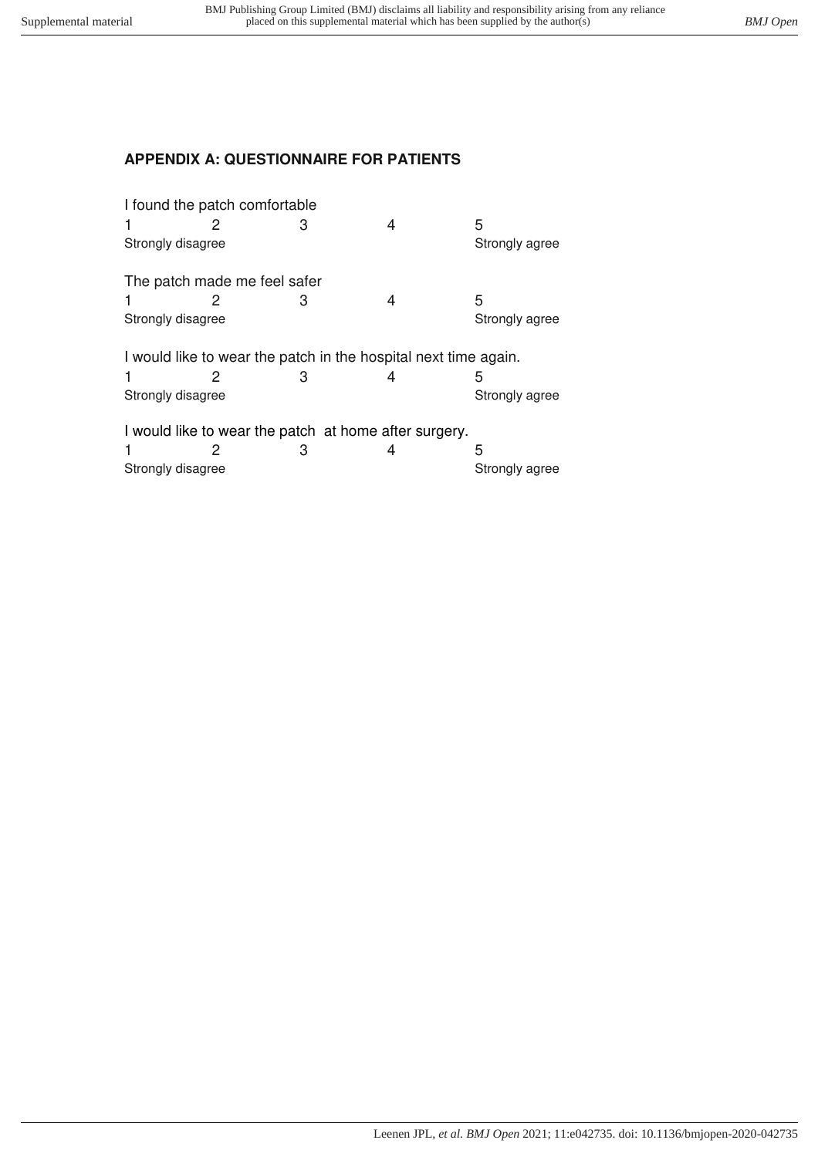# **APPENDIX A: QUESTIONNAIRE FOR PATIENTS**

| I found the patch comfortable                                   |                              |   |   |                |  |  |  |
|-----------------------------------------------------------------|------------------------------|---|---|----------------|--|--|--|
|                                                                 |                              | 3 | 4 | 5              |  |  |  |
| Strongly disagree                                               |                              |   |   | Strongly agree |  |  |  |
|                                                                 | The patch made me feel safer |   |   |                |  |  |  |
|                                                                 | 2                            | З | 4 | 5              |  |  |  |
| Strongly disagree                                               |                              |   |   | Strongly agree |  |  |  |
| I would like to wear the patch in the hospital next time again. |                              |   |   |                |  |  |  |
|                                                                 | 2                            | З |   | 5              |  |  |  |
| Strongly disagree                                               |                              |   |   | Strongly agree |  |  |  |
| I would like to wear the patch at home after surgery.           |                              |   |   |                |  |  |  |
|                                                                 |                              | 3 |   | 5              |  |  |  |
| Strongly disagree                                               |                              |   |   | Strongly agree |  |  |  |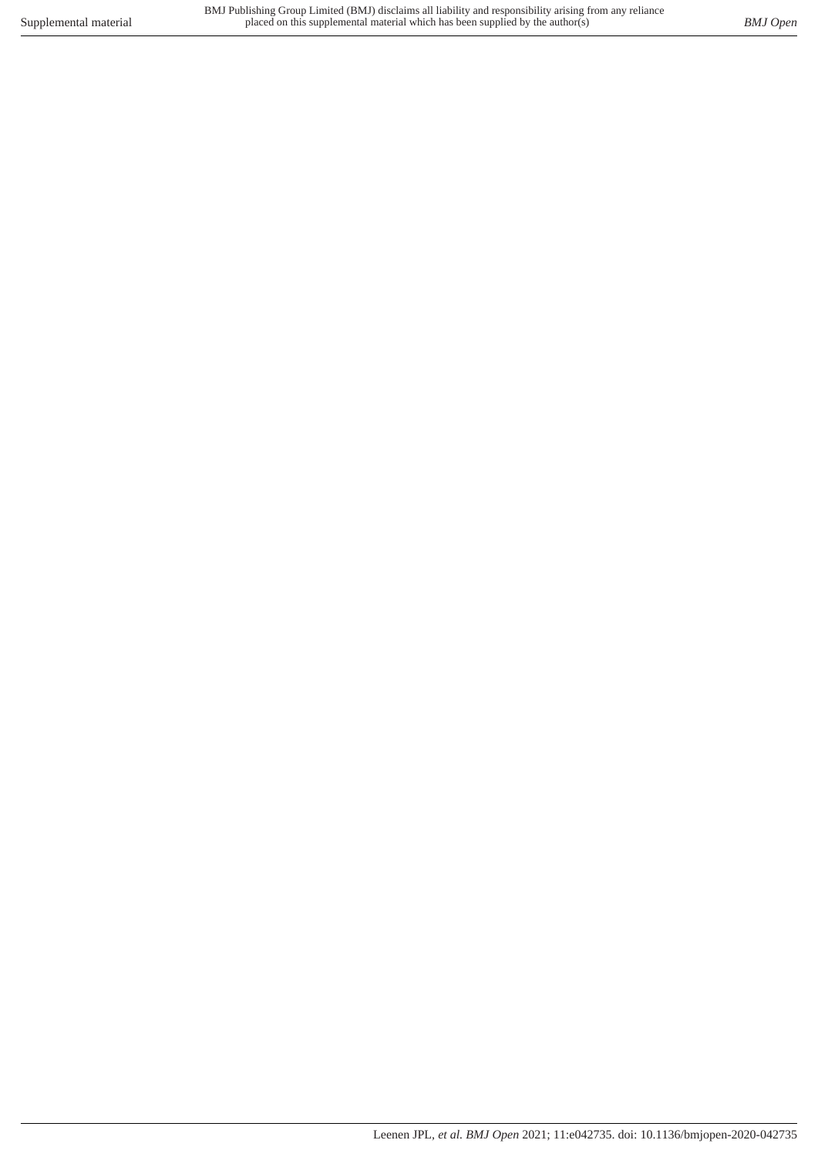Leenen JPL*, et al. BMJ Open* 2021; 11:e042735. doi: 10.1136/bmjopen-2020-042735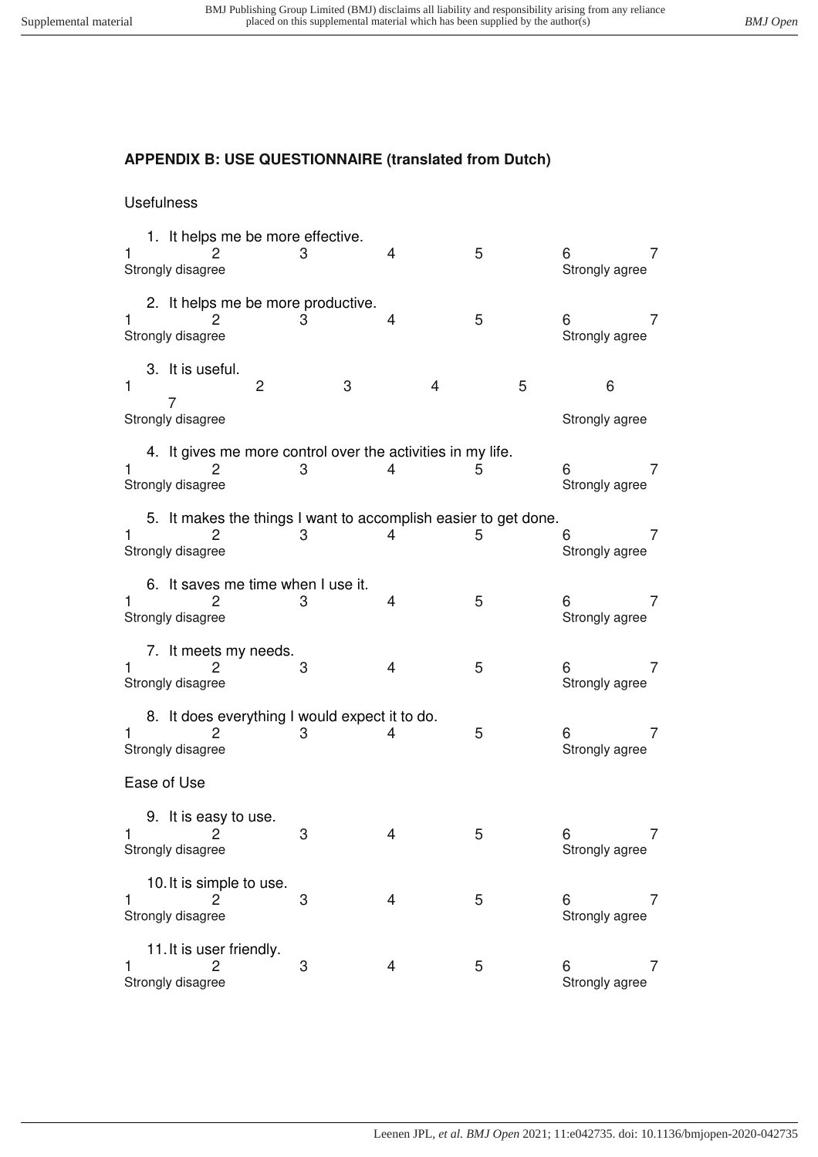# **APPENDIX B: USE QUESTIONNAIRE (translated from Dutch)**

## Usefulness

|   | 1. It helps me be more effective.<br>Strongly disagree                               |   | 4 | 5 | 6<br>Strongly agree | $\prime$ |
|---|--------------------------------------------------------------------------------------|---|---|---|---------------------|----------|
| 1 | 2. It helps me be more productive.<br>Strongly disagree                              | 3 | 4 | 5 | 6<br>Strongly agree | 7        |
| 1 | 3. It is useful.<br>2                                                                | 3 | 4 | 5 | 6                   |          |
|   | Strongly disagree                                                                    |   |   |   | Strongly agree      |          |
|   | 4. It gives me more control over the activities in my life.<br>Strongly disagree     | 3 | 4 |   | 6<br>Strongly agree |          |
| 1 | 5. It makes the things I want to accomplish easier to get done.<br>Strongly disagree | 3 | 4 | 5 | 6<br>Strongly agree |          |
|   | 6. It saves me time when I use it.<br>Strongly disagree                              | 3 | 4 | 5 | 6<br>Strongly agree |          |
| 1 | 7. It meets my needs.<br>Strongly disagree                                           | З | 4 | 5 | 6<br>Strongly agree |          |
|   | 8. It does everything I would expect it to do.<br>Strongly disagree                  |   |   | 5 | რ<br>Strongly agree |          |
|   | Ease of Use                                                                          |   |   |   |                     |          |
| 1 | 9. It is easy to use.<br>2<br>Strongly disagree                                      | 3 | 4 | 5 | 6<br>Strongly agree |          |
| 1 | 10. It is simple to use.<br>2<br>Strongly disagree                                   | 3 | 4 | 5 | 6<br>Strongly agree | 7        |
| 1 | 11. It is user friendly.<br>2<br>Strongly disagree                                   | 3 | 4 | 5 | 6<br>Strongly agree | 7        |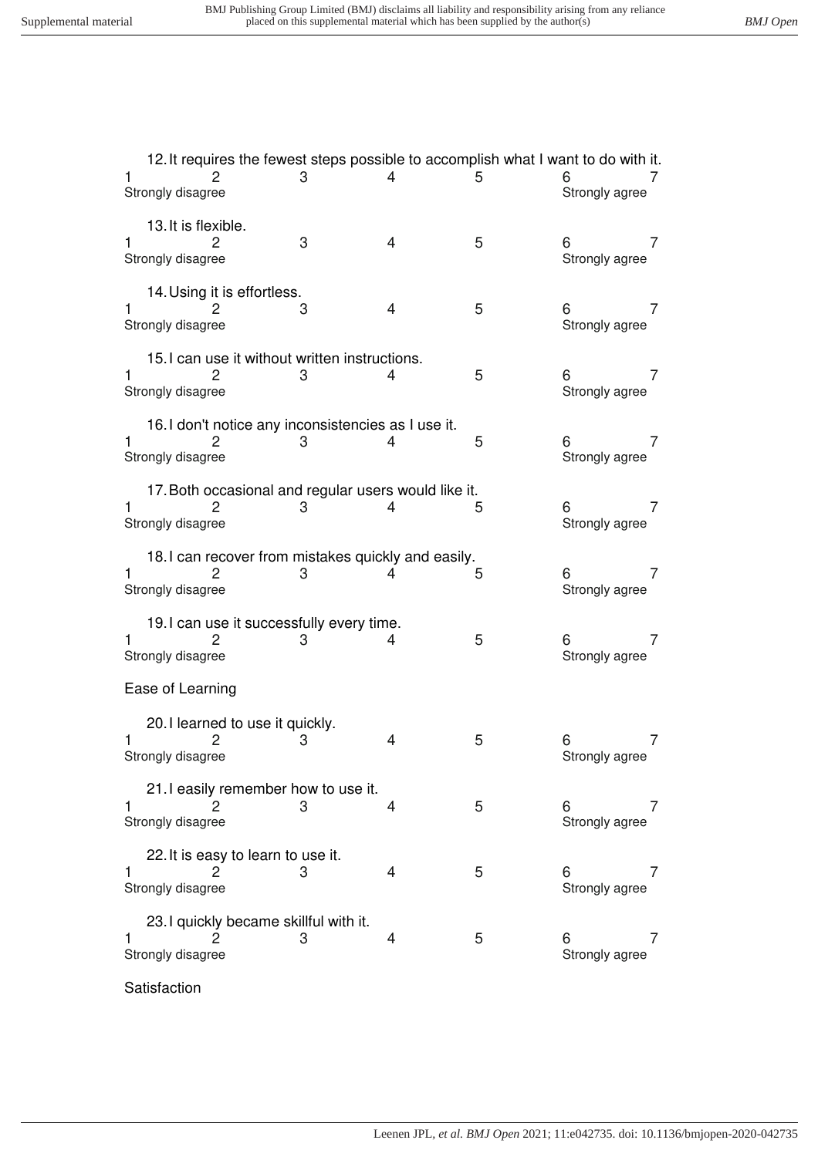| 12. It requires the fewest steps possible to accomplish what I want to do with it.<br>Strongly disagree | 4              |   | Strongly agree           |
|---------------------------------------------------------------------------------------------------------|----------------|---|--------------------------|
| 13. It is flexible.<br>3<br>Strongly disagree                                                           | $\overline{4}$ | 5 | 6<br>7<br>Strongly agree |
| 14. Using it is effortless.<br>З<br>Strongly disagree                                                   | $\overline{4}$ | 5 | 6<br>7<br>Strongly agree |
| 15. I can use it without written instructions.<br>з<br>Strongly disagree                                | 4              | 5 | 6<br>7<br>Strongly agree |
| 16. I don't notice any inconsistencies as I use it.<br>Strongly disagree                                |                | 5 | 6<br>7<br>Strongly agree |
| 17. Both occasional and regular users would like it.<br>Strongly disagree                               | 4              | 5 | 6<br>7<br>Strongly agree |
| 18. I can recover from mistakes quickly and easily.<br>З<br>Strongly disagree                           |                | 5 | 6<br>7<br>Strongly agree |
| 19.1 can use it successfully every time.<br>Strongly disagree                                           | 4              | 5 | 6<br>7<br>Strongly agree |
| Ease of Learning                                                                                        |                |   |                          |
| 20. I learned to use it quickly.<br>3<br>Strongly disagree                                              | 4              | 5 | Strongly agree           |
| 21. I easily remember how to use it.<br>1<br>3<br>Strongly disagree                                     | 4              | 5 | 6<br>7<br>Strongly agree |
| 22. It is easy to learn to use it.<br>1<br>З<br>Strongly disagree                                       | 4              | 5 | 6<br>7<br>Strongly agree |
| 23. I quickly became skillful with it.<br>1<br>3<br>Strongly disagree                                   | 4              | 5 | 6<br>Strongly agree      |

Satisfaction